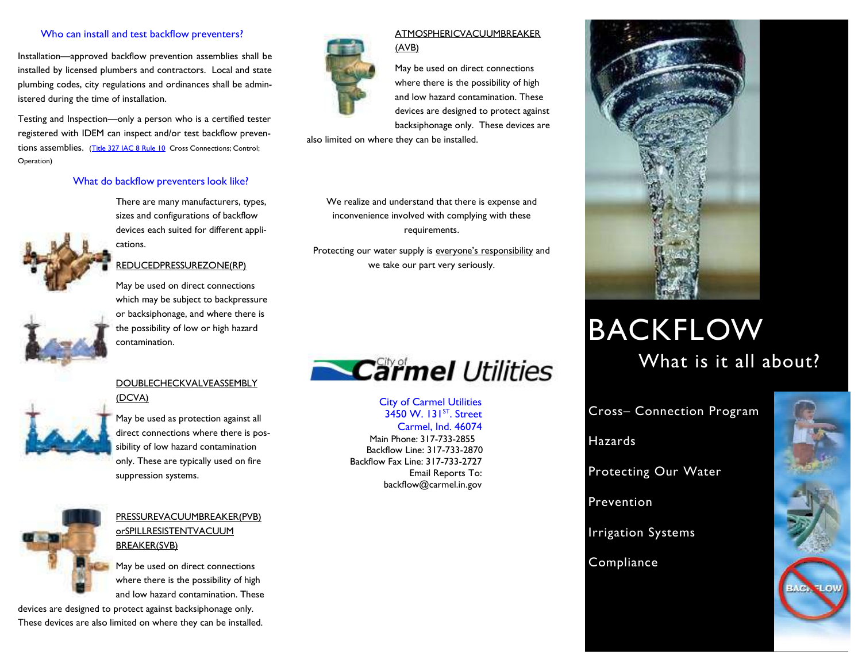## Who can install and test backflow preventers?

Installation—approved backflow prevention assemblies shall be installed by licensed plumbers and contractors. Local and state plumbing codes, city regulations and ordinances shall be administered during the time of installation.

Testing and Inspection—only a person who is a certified tester registered with IDEM can inspect and/or test backflow preven-tions assemblies. [\(Title 327 IAC 8 Rule 10](http://www.in.gov/legislative/iac/T03270/A00080.pdf) Cross Connections; Control; Operation)

### What do backflow preventers look like?

There are many manufacturers, types, sizes and configurations of backflow devices each suited for different applications.



# REDUCEDPRESSUREZONE(RP)

May be used on direct connections which may be subject to backpressure or backsiphonage, and where there is the possibility of low or high hazard contamination.

## DOUBLECHECKVALVEASSEMBLY (DCVA)



May be used as protection against all direct connections where there is possibility of low hazard contamination only. These are typically used on fire suppression systems.



# PRESSUREVACUUMBREAKER(PVB) orSPILLRESISTENTVACUUM BREAKER(SVB)

May be used on direct connections where there is the possibility of high and low hazard contamination. These

devices are designed to protect against backsiphonage only. These devices are also limited on where they can be installed.



## ATMOSPHERICVACUUMBREAKER (AVB)

May be used on direct connections where there is the possibility of high and low hazard contamination. These devices are designed to protect against backsiphonage only. These devices are

also limited on where they can be installed.

We realize and understand that there is expense and inconvenience involved with complying with these requirements.

Protecting our water supply is everyone's responsibility and we take our part very seriously.



City of Carmel Utilities 3450 W. 131<sup>ST</sup>. Street Carmel, Ind. 46074 Main Phone: 317-733-2855 Backflow Line: 317-733-2870 Backflow Fax Line: 317-733-2727 Email Reports To: backflow@carmel.in.gov



# BACKFLOW What is it all about?

Cross– Connection Program

**Hazards** 

Protecting Our Water

Prevention

Irrigation Systems

# **Compliance**